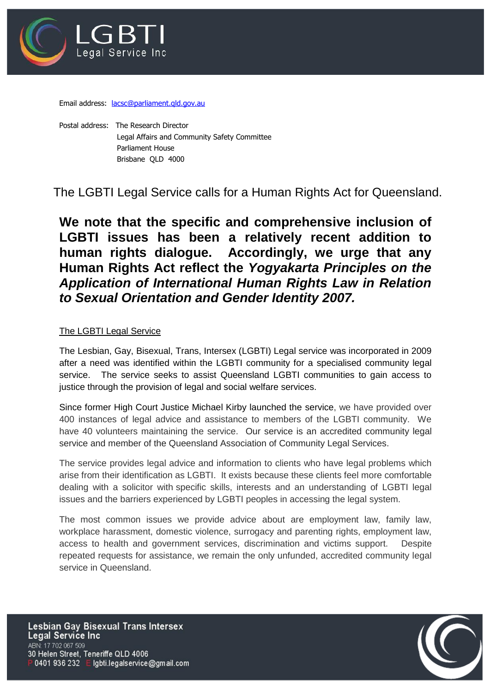

Email address: [lacsc@parliament.qld.gov.au](mailto:lacsc@parliament.qld.gov.au)

Postal address: The Research Director Legal Affairs and Community Safety Committee Parliament House Brisbane QLD 4000

The LGBTI Legal Service calls for a Human Rights Act for Queensland.

**We note that the specific and comprehensive inclusion of LGBTI issues has been a relatively recent addition to human rights dialogue. Accordingly, we urge that any Human Rights Act reflect the** *Yogyakarta Principles on the Application of International Human Rights Law in Relation to Sexual Orientation and Gender Identity 2007.* 

# The LGBTI Legal Service

The Lesbian, Gay, Bisexual, Trans, Intersex (LGBTI) Legal service was incorporated in 2009 after a need was identified within the LGBTI community for a specialised community legal service. The service seeks to assist Queensland LGBTI communities to gain access to justice through the provision of legal and social welfare services.

Since former High Court Justice Michael Kirby launched the service, we have provided over 400 instances of legal advice and assistance to members of the LGBTI community. We have 40 volunteers maintaining the service. Our service is an accredited community legal service and member of the Queensland Association of Community Legal Services.

The service provides legal advice and information to clients who have legal problems which arise from their identification as LGBTI. It exists because these clients feel more comfortable dealing with a solicitor with specific skills, interests and an understanding of LGBTI legal issues and the barriers experienced by LGBTI peoples in accessing the legal system.

The most common issues we provide advice about are employment law, family law, workplace harassment, domestic violence, surrogacy and parenting rights, employment law, access to health and government services, discrimination and victims support. Despite repeated requests for assistance, we remain the only unfunded, accredited community legal service in Queensland.

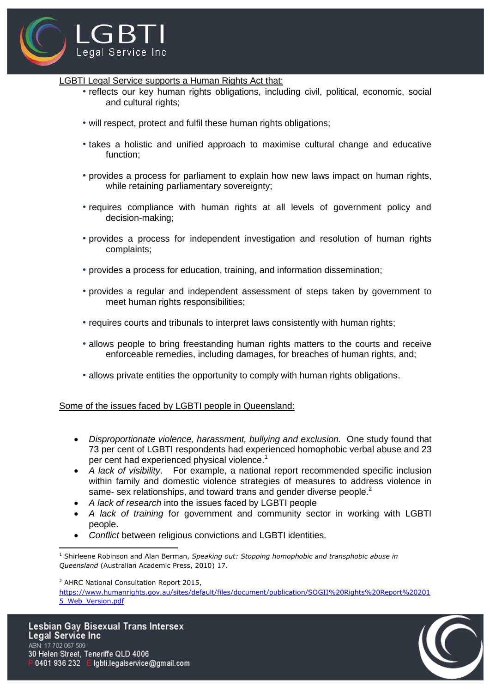

### LGBTI Legal Service supports a Human Rights Act that:

- reflects our key human rights obligations, including civil, political, economic, social and cultural rights;
- will respect, protect and fulfil these human rights obligations;
- takes a holistic and unified approach to maximise cultural change and educative function;
- provides a process for parliament to explain how new laws impact on human rights, while retaining parliamentary sovereignty;
- requires compliance with human rights at all levels of government policy and decision-making;
- provides a process for independent investigation and resolution of human rights complaints;
- provides a process for education, training, and information dissemination;
- provides a regular and independent assessment of steps taken by government to meet human rights responsibilities;
- requires courts and tribunals to interpret laws consistently with human rights;
- allows people to bring freestanding human rights matters to the courts and receive enforceable remedies, including damages, for breaches of human rights, and;
- allows private entities the opportunity to comply with human rights obligations.

Some of the issues faced by LGBTI people in Queensland:

- *Disproportionate violence, harassment, bullying and exclusion.* One study found that 73 per cent of LGBTI respondents had experienced homophobic verbal abuse and 23 per cent had experienced physical violence.<sup>1</sup>
- *A lack of visibility*. For example, a national report recommended specific inclusion within family and domestic violence strategies of measures to address violence in same- sex relationships, and toward trans and gender diverse people. $^2$
- *A lack of research* into the issues faced by LGBTI people
- *A lack of training* for government and community sector in working with LGBTI people.
- *Conflict* between religious convictions and LGBTI identities.

**.** <sup>1</sup> Shirleene Robinson and Alan Berman, *Speaking out: Stopping homophobic and transphobic abuse in Queensland* (Australian Academic Press, 2010) 17.

<sup>2</sup> AHRC National Consultation Report 2015,

[https://www.humanrights.gov.au/sites/default/files/document/publication/SOGII%20Rights%20Report%20201](https://www.humanrights.gov.au/sites/default/files/document/publication/SOGII%20Rights%20Report%202015_Web_Version.pdf) [5\\_Web\\_Version.pdf](https://www.humanrights.gov.au/sites/default/files/document/publication/SOGII%20Rights%20Report%202015_Web_Version.pdf)

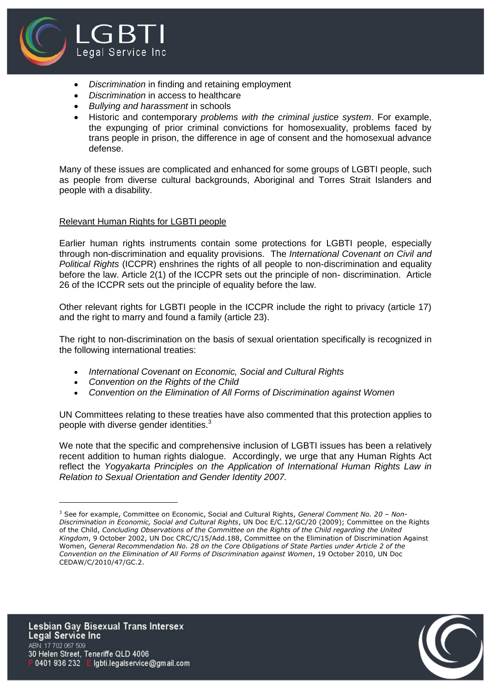

- *Discrimination* in finding and retaining employment
- *Discrimination* in access to healthcare
- *Bullying and harassment* in schools
- Historic and contemporary *problems with the criminal justice system*. For example, the expunging of prior criminal convictions for homosexuality, problems faced by trans people in prison, the difference in age of consent and the homosexual advance defense.

Many of these issues are complicated and enhanced for some groups of LGBTI people, such as people from diverse cultural backgrounds, Aboriginal and Torres Strait Islanders and people with a disability.

### Relevant Human Rights for LGBTI people

Earlier human rights instruments contain some protections for LGBTI people, especially through non-discrimination and equality provisions. The *International Covenant on Civil and Political Rights* (ICCPR) enshrines the rights of all people to non-discrimination and equality before the law. Article 2(1) of the ICCPR sets out the principle of non- discrimination. Article 26 of the ICCPR sets out the principle of equality before the law.

Other relevant rights for LGBTI people in the ICCPR include the right to privacy (article 17) and the right to marry and found a family (article 23).

The right to non-discrimination on the basis of sexual orientation specifically is recognized in the following international treaties:

- *International Covenant on Economic, Social and Cultural Rights*
- *Convention on the Rights of the Child*
- *Convention on the Elimination of All Forms of Discrimination against Women*

UN Committees relating to these treaties have also commented that this protection applies to people with diverse gender identities.<sup>3</sup>

We note that the specific and comprehensive inclusion of LGBTI issues has been a relatively recent addition to human rights dialogue. Accordingly, we urge that any Human Rights Act reflect the *Yogyakarta Principles on the Application of International Human Rights Law in Relation to Sexual Orientation and Gender Identity 2007.* 

**.** 



<sup>3</sup> See for example, Committee on Economic, Social and Cultural Rights, *General Comment No. 20 – Non-Discrimination in Economic, Social and Cultural Rights*, UN Doc E/C.12/GC/20 (2009); Committee on the Rights of the Child, *Concluding Observations of the Committee on the Rights of the Child regarding the United Kingdom*, 9 October 2002, UN Doc CRC/C/15/Add.188, Committee on the Elimination of Discrimination Against Women, *General Recommendation No. 28 on the Core Obligations of State Parties under Article 2 of the Convention on the Elimination of All Forms of Discrimination against Women*, 19 October 2010, UN Doc CEDAW/C/2010/47/GC.2.